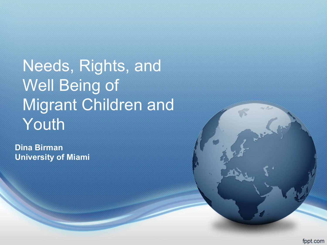Needs, Rights, and Well Being of Migrant Children and Youth

**Dina Birman University of Miami**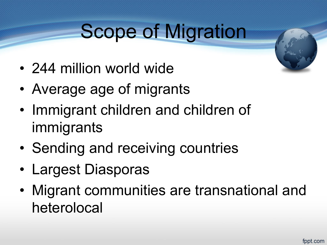# Scope of Migration

- 244 million world wide
- Average age of migrants
- Immigrant children and children of immigrants
- Sending and receiving countries
- Largest Diasporas
- Migrant communities are transnational and heterolocal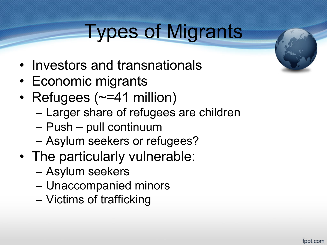## Types of Migrants

- Investors and transnationals
- Economic migrants
- Refugees (~=41 million)
	- Larger share of refugees are children
	- Push pull continuum
	- Asylum seekers or refugees?
- The particularly vulnerable:
	- Asylum seekers
	- Unaccompanied minors
	- Victims of trafficking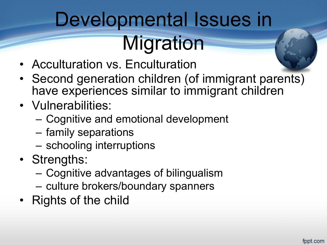# Developmental Issues in **Migration**

- Acculturation vs. Enculturation
- Second generation children (of immigrant parents) have experiences similar to immigrant children
- Vulnerabilities:
	- Cognitive and emotional development
	- family separations
	- schooling interruptions
- Strengths:
	- Cognitive advantages of bilingualism
	- culture brokers/boundary spanners
- Rights of the child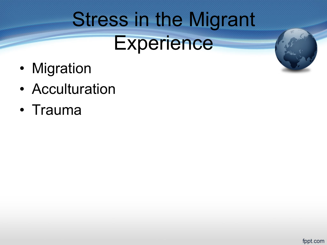# Stress in the Migrant **Experience**

- Migration
- Acculturation
- Trauma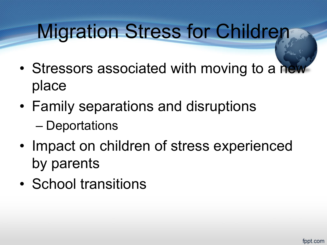# Migration Stress for Children

- Stressors associated with moving to a new place
- Family separations and disruptions
	- Deportations
- Impact on children of stress experienced by parents
- School transitions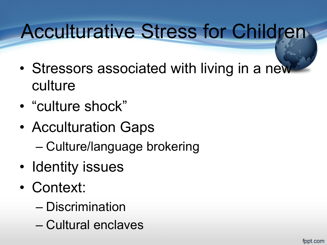# Acculturative Stress for Children

- Stressors associated with living in a new culture
- "culture shock"
- Acculturation Gaps
	- Culture/language brokering
- Identity issues
- Context:
	- Discrimination
	- Cultural enclaves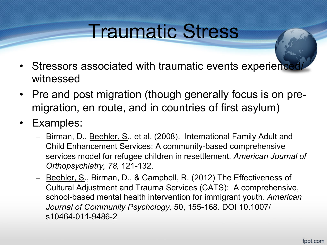### Traumatic Stress

- Stressors associated with traumatic events experience witnessed
- Pre and post migration (though generally focus is on premigration, en route, and in countries of first asylum)
- Examples:
	- Birman, D., Beehler, S., et al. (2008). International Family Adult and Child Enhancement Services: A community-based comprehensive services model for refugee children in resettlement. *American Journal of Orthopsychiatry, 78,* 121-132.
	- Beehler, S., Birman, D., & Campbell, R. (2012) The Effectiveness of Cultural Adjustment and Trauma Services (CATS): A comprehensive, school-based mental health intervention for immigrant youth. *American Journal of Community Psychology,* 50, 155-168. DOI 10.1007/ s10464-011-9486-2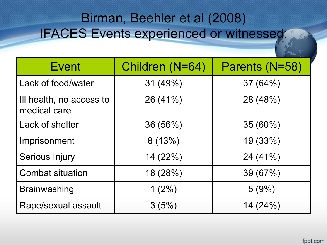#### Birman, Beehler et al (2008) IFACES Events experienced or witnessed:

| <b>Event</b>                             | Children (N=64) | Parents (N=58) |
|------------------------------------------|-----------------|----------------|
| Lack of food/water                       | 31 (49%)        | 37(64%)        |
| Ill health, no access to<br>medical care | 26 (41%)        | 28 (48%)       |
| Lack of shelter                          | 36(56%)         | $35(60\%)$     |
| Imprisonment                             | 8(13%)          | 19(33%)        |
| Serious Injury                           | 14(22%)         | 24 (41%)       |
| <b>Combat situation</b>                  | 18(28%)         | 39 (67%)       |
| <b>Brainwashing</b>                      | $1(2\%)$        | 5(9%)          |
| Rape/sexual assault                      | 3(5%)           | 14(24%)        |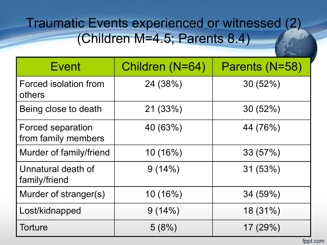#### Traumatic Events experienced or witnessed (2) (Children M=4.5; Parents 8.4)

| <b>Event</b>                                    | Children (N=64) | Parents (N=58) |
|-------------------------------------------------|-----------------|----------------|
| Forced isolation from<br>others                 | 24 (38%)        | 30(52%)        |
| Being close to death                            | 21(33%)         | 30(52%)        |
| <b>Forced separation</b><br>from family members | 40 (63%)        | 44 (76%)       |
| Murder of family/friend                         | 10(16%)         | 33(57%)        |
| Unnatural death of<br>family/friend             | 9(14%)          | 31(53%)        |
| Murder of stranger(s)                           | 10(16%)         | 34 (59%)       |
| Lost/kidnapped                                  | 9(14%)          | 18 (31%)       |
| <b>Torture</b>                                  | 5(8%)           | 17 (29%)       |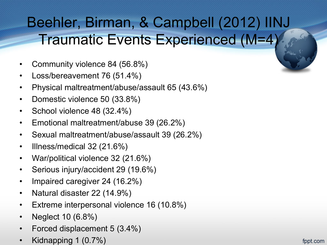### Beehler, Birman, & Campbell (2012) IINJ Traumatic Events Experienced (M=4)

- Community violence 84 (56.8%)
- Loss/bereavement 76 (51.4%)
- Physical maltreatment/abuse/assault 65 (43.6%)
- Domestic violence 50 (33.8%)
- School violence 48 (32.4%)
- Emotional maltreatment/abuse 39 (26.2%)
- Sexual maltreatment/abuse/assault 39 (26.2%)
- Illness/medical 32 (21.6%)
- War/political violence 32 (21.6%)
- Serious injury/accident 29 (19.6%)
- Impaired caregiver 24 (16.2%)
- Natural disaster 22 (14.9%)
- Extreme interpersonal violence 16 (10.8%)
- Neglect 10 (6.8%)
- Forced displacement 5 (3.4%)
- Kidnapping 1 (0.7%)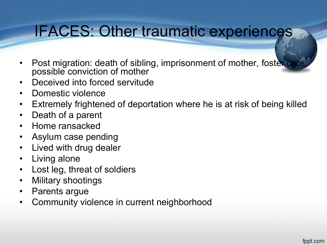### IFACES: Other traumatic experiences

- Post migration: death of sibling, imprisonment of mother, foster of possible conviction of mother
- Deceived into forced servitude
- Domestic violence
- Extremely frightened of deportation where he is at risk of being killed
- Death of a parent
- Home ransacked
- Asylum case pending
- Lived with drug dealer
- Living alone
- Lost leg, threat of soldiers
- Military shootings
- Parents argue
- Community violence in current neighborhood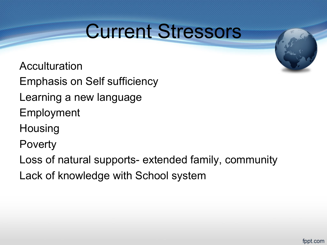### Current Stressors

Acculturation Emphasis on Self sufficiency Learning a new language

Employment

**Housing** 

Poverty

Loss of natural supports- extended family, community

Lack of knowledge with School system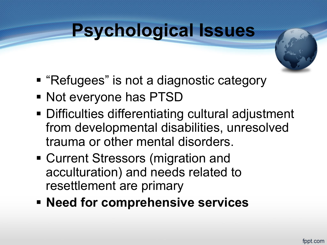### **Psychological Issues**



- "Refugees" is not a diagnostic category
- § Not everyone has PTSD
- Difficulties differentiating cultural adjustment from developmental disabilities, unresolved trauma or other mental disorders.
- Current Stressors (migration and acculturation) and needs related to resettlement are primary
- § **Need for comprehensive services**